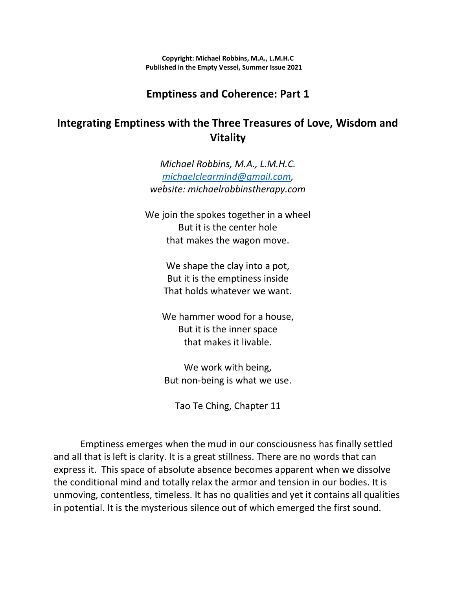**Copyright: Michael Robbins, M.A., L.M.H.C Published in the Empty Vessel, Summer Issue 2021**

# **Emptiness and Coherence: Part 1**

# **Integrating Emptiness with the Three Treasures of Love, Wisdom and Vitality**

*Michael Robbins, M.A., L.M.H.C. [michaelclearmind@gmail.com,](mailto:michaelclearmind@gmail.com) website: michaelrobbinstherapy.com*

We join the spokes together in a wheel But it is the center hole that makes the wagon move.

> We shape the clay into a pot, But it is the emptiness inside That holds whatever we want.

We hammer wood for a house, But it is the inner space that makes it livable.

We work with being, But non-being is what we use.

Tao Te Ching, Chapter 11

Emptiness emerges when the mud in our consciousness has finally settled and all that is left is clarity. It is a great stillness. There are no words that can express it. This space of absolute absence becomes apparent when we dissolve the conditional mind and totally relax the armor and tension in our bodies. It is unmoving, contentless, timeless. It has no qualities and yet it contains all qualities in potential. It is the mysterious silence out of which emerged the first sound.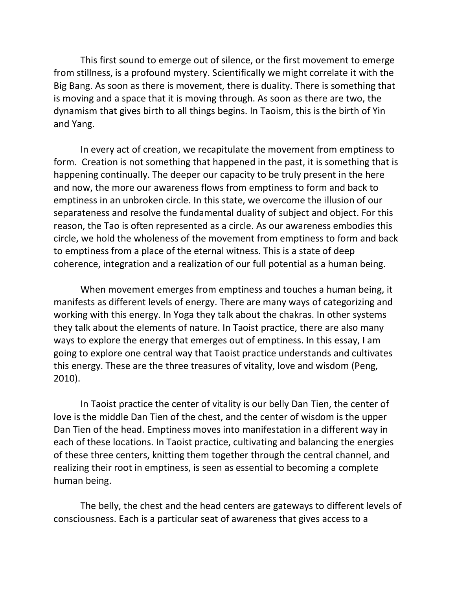This first sound to emerge out of silence, or the first movement to emerge from stillness, is a profound mystery. Scientifically we might correlate it with the Big Bang. As soon as there is movement, there is duality. There is something that is moving and a space that it is moving through. As soon as there are two, the dynamism that gives birth to all things begins. In Taoism, this is the birth of Yin and Yang.

In every act of creation, we recapitulate the movement from emptiness to form. Creation is not something that happened in the past, it is something that is happening continually. The deeper our capacity to be truly present in the here and now, the more our awareness flows from emptiness to form and back to emptiness in an unbroken circle. In this state, we overcome the illusion of our separateness and resolve the fundamental duality of subject and object. For this reason, the Tao is often represented as a circle. As our awareness embodies this circle, we hold the wholeness of the movement from emptiness to form and back to emptiness from a place of the eternal witness. This is a state of deep coherence, integration and a realization of our full potential as a human being.

When movement emerges from emptiness and touches a human being, it manifests as different levels of energy. There are many ways of categorizing and working with this energy. In Yoga they talk about the chakras. In other systems they talk about the elements of nature. In Taoist practice, there are also many ways to explore the energy that emerges out of emptiness. In this essay, I am going to explore one central way that Taoist practice understands and cultivates this energy. These are the three treasures of vitality, love and wisdom (Peng, 2010).

In Taoist practice the center of vitality is our belly Dan Tien, the center of love is the middle Dan Tien of the chest, and the center of wisdom is the upper Dan Tien of the head. Emptiness moves into manifestation in a different way in each of these locations. In Taoist practice, cultivating and balancing the energies of these three centers, knitting them together through the central channel, and realizing their root in emptiness, is seen as essential to becoming a complete human being.

The belly, the chest and the head centers are gateways to different levels of consciousness. Each is a particular seat of awareness that gives access to a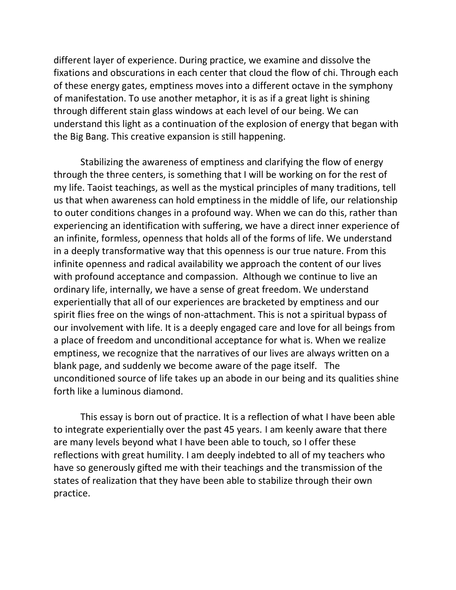different layer of experience. During practice, we examine and dissolve the fixations and obscurations in each center that cloud the flow of chi. Through each of these energy gates, emptiness moves into a different octave in the symphony of manifestation. To use another metaphor, it is as if a great light is shining through different stain glass windows at each level of our being. We can understand this light as a continuation of the explosion of energy that began with the Big Bang. This creative expansion is still happening.

Stabilizing the awareness of emptiness and clarifying the flow of energy through the three centers, is something that I will be working on for the rest of my life. Taoist teachings, as well as the mystical principles of many traditions, tell us that when awareness can hold emptiness in the middle of life, our relationship to outer conditions changes in a profound way. When we can do this, rather than experiencing an identification with suffering, we have a direct inner experience of an infinite, formless, openness that holds all of the forms of life. We understand in a deeply transformative way that this openness is our true nature. From this infinite openness and radical availability we approach the content of our lives with profound acceptance and compassion. Although we continue to live an ordinary life, internally, we have a sense of great freedom. We understand experientially that all of our experiences are bracketed by emptiness and our spirit flies free on the wings of non-attachment. This is not a spiritual bypass of our involvement with life. It is a deeply engaged care and love for all beings from a place of freedom and unconditional acceptance for what is. When we realize emptiness, we recognize that the narratives of our lives are always written on a blank page, and suddenly we become aware of the page itself. The unconditioned source of life takes up an abode in our being and its qualities shine forth like a luminous diamond.

This essay is born out of practice. It is a reflection of what I have been able to integrate experientially over the past 45 years. I am keenly aware that there are many levels beyond what I have been able to touch, so I offer these reflections with great humility. I am deeply indebted to all of my teachers who have so generously gifted me with their teachings and the transmission of the states of realization that they have been able to stabilize through their own practice.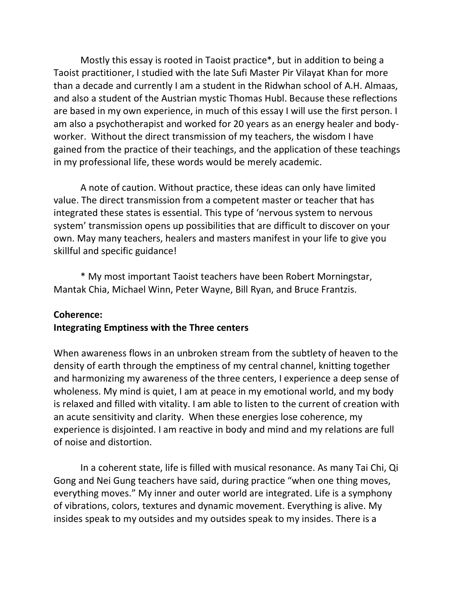Mostly this essay is rooted in Taoist practice\*, but in addition to being a Taoist practitioner, I studied with the late Sufi Master Pir Vilayat Khan for more than a decade and currently I am a student in the Ridwhan school of A.H. Almaas, and also a student of the Austrian mystic Thomas Hubl. Because these reflections are based in my own experience, in much of this essay I will use the first person. I am also a psychotherapist and worked for 20 years as an energy healer and bodyworker. Without the direct transmission of my teachers, the wisdom I have gained from the practice of their teachings, and the application of these teachings in my professional life, these words would be merely academic.

A note of caution. Without practice, these ideas can only have limited value. The direct transmission from a competent master or teacher that has integrated these states is essential. This type of 'nervous system to nervous system' transmission opens up possibilities that are difficult to discover on your own. May many teachers, healers and masters manifest in your life to give you skillful and specific guidance!

\* My most important Taoist teachers have been Robert Morningstar, Mantak Chia, Michael Winn, Peter Wayne, Bill Ryan, and Bruce Frantzis.

#### **Coherence:**

#### **Integrating Emptiness with the Three centers**

When awareness flows in an unbroken stream from the subtlety of heaven to the density of earth through the emptiness of my central channel, knitting together and harmonizing my awareness of the three centers, I experience a deep sense of wholeness. My mind is quiet, I am at peace in my emotional world, and my body is relaxed and filled with vitality. I am able to listen to the current of creation with an acute sensitivity and clarity. When these energies lose coherence, my experience is disjointed. I am reactive in body and mind and my relations are full of noise and distortion.

In a coherent state, life is filled with musical resonance. As many Tai Chi, Qi Gong and Nei Gung teachers have said, during practice "when one thing moves, everything moves." My inner and outer world are integrated. Life is a symphony of vibrations, colors, textures and dynamic movement. Everything is alive. My insides speak to my outsides and my outsides speak to my insides. There is a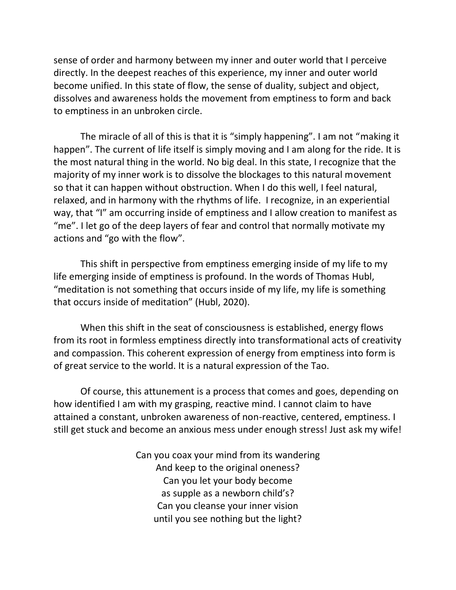sense of order and harmony between my inner and outer world that I perceive directly. In the deepest reaches of this experience, my inner and outer world become unified. In this state of flow, the sense of duality, subject and object, dissolves and awareness holds the movement from emptiness to form and back to emptiness in an unbroken circle.

The miracle of all of this is that it is "simply happening". I am not "making it happen". The current of life itself is simply moving and I am along for the ride. It is the most natural thing in the world. No big deal. In this state, I recognize that the majority of my inner work is to dissolve the blockages to this natural movement so that it can happen without obstruction. When I do this well, I feel natural, relaxed, and in harmony with the rhythms of life. I recognize, in an experiential way, that "I" am occurring inside of emptiness and I allow creation to manifest as "me". I let go of the deep layers of fear and control that normally motivate my actions and "go with the flow".

This shift in perspective from emptiness emerging inside of my life to my life emerging inside of emptiness is profound. In the words of Thomas Hubl, "meditation is not something that occurs inside of my life, my life is something that occurs inside of meditation" (Hubl, 2020).

When this shift in the seat of consciousness is established, energy flows from its root in formless emptiness directly into transformational acts of creativity and compassion. This coherent expression of energy from emptiness into form is of great service to the world. It is a natural expression of the Tao.

Of course, this attunement is a process that comes and goes, depending on how identified I am with my grasping, reactive mind. I cannot claim to have attained a constant, unbroken awareness of non-reactive, centered, emptiness. I still get stuck and become an anxious mess under enough stress! Just ask my wife!

> Can you coax your mind from its wandering And keep to the original oneness? Can you let your body become as supple as a newborn child's? Can you cleanse your inner vision until you see nothing but the light?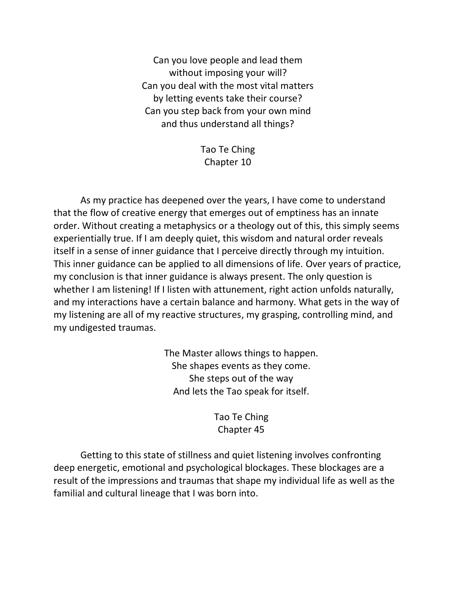Can you love people and lead them without imposing your will? Can you deal with the most vital matters by letting events take their course? Can you step back from your own mind and thus understand all things?

> Tao Te Ching Chapter 10

As my practice has deepened over the years, I have come to understand that the flow of creative energy that emerges out of emptiness has an innate order. Without creating a metaphysics or a theology out of this, this simply seems experientially true. If I am deeply quiet, this wisdom and natural order reveals itself in a sense of inner guidance that I perceive directly through my intuition. This inner guidance can be applied to all dimensions of life. Over years of practice, my conclusion is that inner guidance is always present. The only question is whether I am listening! If I listen with attunement, right action unfolds naturally, and my interactions have a certain balance and harmony. What gets in the way of my listening are all of my reactive structures, my grasping, controlling mind, and my undigested traumas.

> The Master allows things to happen. She shapes events as they come. She steps out of the way And lets the Tao speak for itself.

> > Tao Te Ching Chapter 45

Getting to this state of stillness and quiet listening involves confronting deep energetic, emotional and psychological blockages. These blockages are a result of the impressions and traumas that shape my individual life as well as the familial and cultural lineage that I was born into.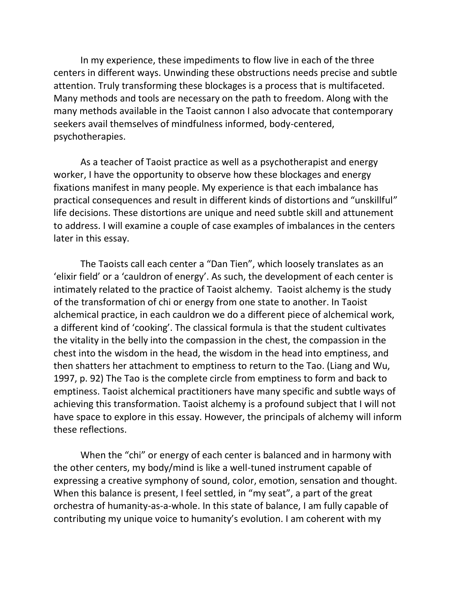In my experience, these impediments to flow live in each of the three centers in different ways. Unwinding these obstructions needs precise and subtle attention. Truly transforming these blockages is a process that is multifaceted. Many methods and tools are necessary on the path to freedom. Along with the many methods available in the Taoist cannon I also advocate that contemporary seekers avail themselves of mindfulness informed, body-centered, psychotherapies.

As a teacher of Taoist practice as well as a psychotherapist and energy worker, I have the opportunity to observe how these blockages and energy fixations manifest in many people. My experience is that each imbalance has practical consequences and result in different kinds of distortions and "unskillful" life decisions. These distortions are unique and need subtle skill and attunement to address. I will examine a couple of case examples of imbalances in the centers later in this essay.

The Taoists call each center a "Dan Tien", which loosely translates as an 'elixir field' or a 'cauldron of energy'. As such, the development of each center is intimately related to the practice of Taoist alchemy. Taoist alchemy is the study of the transformation of chi or energy from one state to another. In Taoist alchemical practice, in each cauldron we do a different piece of alchemical work, a different kind of 'cooking'. The classical formula is that the student cultivates the vitality in the belly into the compassion in the chest, the compassion in the chest into the wisdom in the head, the wisdom in the head into emptiness, and then shatters her attachment to emptiness to return to the Tao. (Liang and Wu, 1997, p. 92) The Tao is the complete circle from emptiness to form and back to emptiness. Taoist alchemical practitioners have many specific and subtle ways of achieving this transformation. Taoist alchemy is a profound subject that I will not have space to explore in this essay. However, the principals of alchemy will inform these reflections.

When the "chi" or energy of each center is balanced and in harmony with the other centers, my body/mind is like a well-tuned instrument capable of expressing a creative symphony of sound, color, emotion, sensation and thought. When this balance is present, I feel settled, in "my seat", a part of the great orchestra of humanity-as-a-whole. In this state of balance, I am fully capable of contributing my unique voice to humanity's evolution. I am coherent with my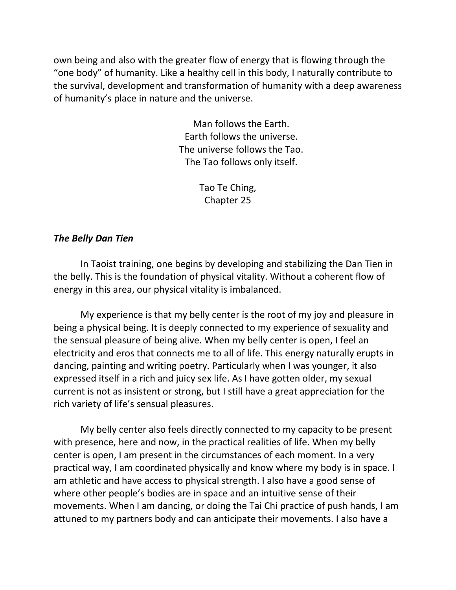own being and also with the greater flow of energy that is flowing through the "one body" of humanity. Like a healthy cell in this body, I naturally contribute to the survival, development and transformation of humanity with a deep awareness of humanity's place in nature and the universe.

> Man follows the Earth. Earth follows the universe. The universe follows the Tao. The Tao follows only itself.

> > Tao Te Ching, Chapter 25

### *The Belly Dan Tien*

In Taoist training, one begins by developing and stabilizing the Dan Tien in the belly. This is the foundation of physical vitality. Without a coherent flow of energy in this area, our physical vitality is imbalanced.

My experience is that my belly center is the root of my joy and pleasure in being a physical being. It is deeply connected to my experience of sexuality and the sensual pleasure of being alive. When my belly center is open, I feel an electricity and eros that connects me to all of life. This energy naturally erupts in dancing, painting and writing poetry. Particularly when I was younger, it also expressed itself in a rich and juicy sex life. As I have gotten older, my sexual current is not as insistent or strong, but I still have a great appreciation for the rich variety of life's sensual pleasures.

My belly center also feels directly connected to my capacity to be present with presence, here and now, in the practical realities of life. When my belly center is open, I am present in the circumstances of each moment. In a very practical way, I am coordinated physically and know where my body is in space. I am athletic and have access to physical strength. I also have a good sense of where other people's bodies are in space and an intuitive sense of their movements. When I am dancing, or doing the Tai Chi practice of push hands, I am attuned to my partners body and can anticipate their movements. I also have a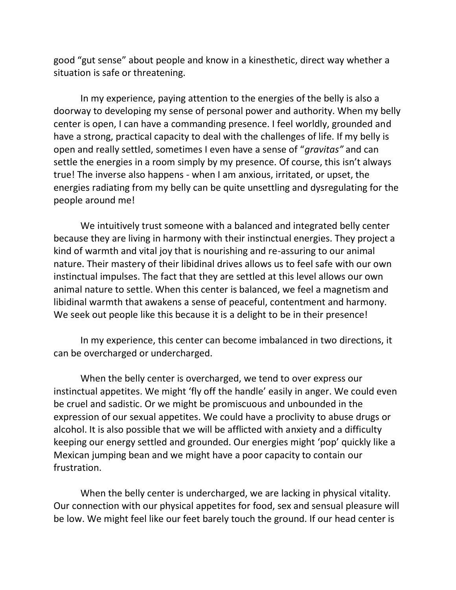good "gut sense" about people and know in a kinesthetic, direct way whether a situation is safe or threatening.

In my experience, paying attention to the energies of the belly is also a doorway to developing my sense of personal power and authority. When my belly center is open, I can have a commanding presence. I feel worldly, grounded and have a strong, practical capacity to deal with the challenges of life. If my belly is open and really settled, sometimes I even have a sense of "*gravitas"* and can settle the energies in a room simply by my presence. Of course, this isn't always true! The inverse also happens - when I am anxious, irritated, or upset, the energies radiating from my belly can be quite unsettling and dysregulating for the people around me!

We intuitively trust someone with a balanced and integrated belly center because they are living in harmony with their instinctual energies. They project a kind of warmth and vital joy that is nourishing and re-assuring to our animal nature. Their mastery of their libidinal drives allows us to feel safe with our own instinctual impulses. The fact that they are settled at this level allows our own animal nature to settle. When this center is balanced, we feel a magnetism and libidinal warmth that awakens a sense of peaceful, contentment and harmony. We seek out people like this because it is a delight to be in their presence!

In my experience, this center can become imbalanced in two directions, it can be overcharged or undercharged.

When the belly center is overcharged, we tend to over express our instinctual appetites. We might 'fly off the handle' easily in anger. We could even be cruel and sadistic. Or we might be promiscuous and unbounded in the expression of our sexual appetites. We could have a proclivity to abuse drugs or alcohol. It is also possible that we will be afflicted with anxiety and a difficulty keeping our energy settled and grounded. Our energies might 'pop' quickly like a Mexican jumping bean and we might have a poor capacity to contain our frustration.

When the belly center is undercharged, we are lacking in physical vitality. Our connection with our physical appetites for food, sex and sensual pleasure will be low. We might feel like our feet barely touch the ground. If our head center is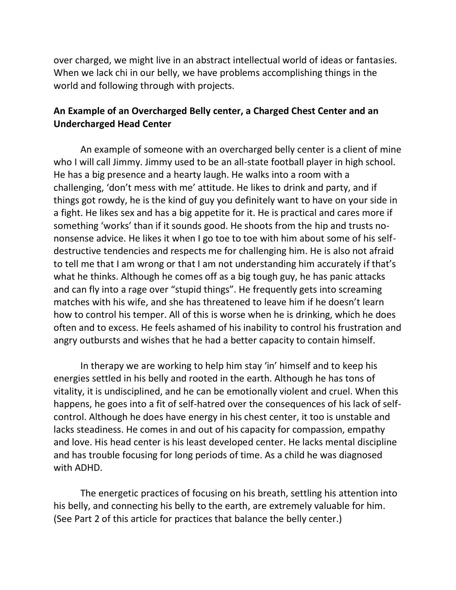over charged, we might live in an abstract intellectual world of ideas or fantasies. When we lack chi in our belly, we have problems accomplishing things in the world and following through with projects.

## **An Example of an Overcharged Belly center, a Charged Chest Center and an Undercharged Head Center**

An example of someone with an overcharged belly center is a client of mine who I will call Jimmy. Jimmy used to be an all-state football player in high school. He has a big presence and a hearty laugh. He walks into a room with a challenging, 'don't mess with me' attitude. He likes to drink and party, and if things got rowdy, he is the kind of guy you definitely want to have on your side in a fight. He likes sex and has a big appetite for it. He is practical and cares more if something 'works' than if it sounds good. He shoots from the hip and trusts nononsense advice. He likes it when I go toe to toe with him about some of his selfdestructive tendencies and respects me for challenging him. He is also not afraid to tell me that I am wrong or that I am not understanding him accurately if that's what he thinks. Although he comes off as a big tough guy, he has panic attacks and can fly into a rage over "stupid things". He frequently gets into screaming matches with his wife, and she has threatened to leave him if he doesn't learn how to control his temper. All of this is worse when he is drinking, which he does often and to excess. He feels ashamed of his inability to control his frustration and angry outbursts and wishes that he had a better capacity to contain himself.

In therapy we are working to help him stay 'in' himself and to keep his energies settled in his belly and rooted in the earth. Although he has tons of vitality, it is undisciplined, and he can be emotionally violent and cruel. When this happens, he goes into a fit of self-hatred over the consequences of his lack of selfcontrol. Although he does have energy in his chest center, it too is unstable and lacks steadiness. He comes in and out of his capacity for compassion, empathy and love. His head center is his least developed center. He lacks mental discipline and has trouble focusing for long periods of time. As a child he was diagnosed with ADHD.

The energetic practices of focusing on his breath, settling his attention into his belly, and connecting his belly to the earth, are extremely valuable for him. (See Part 2 of this article for practices that balance the belly center.)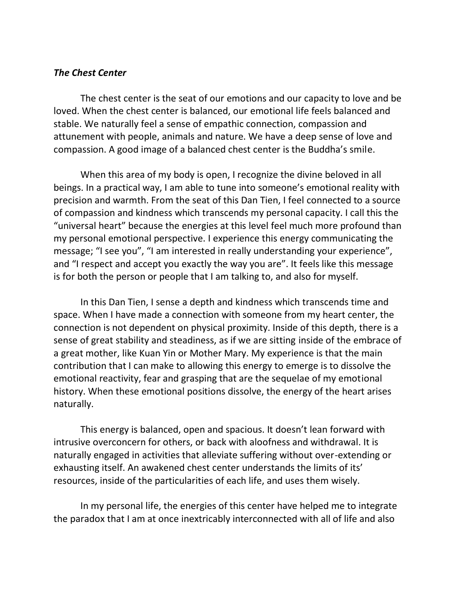### *The Chest Center*

The chest center is the seat of our emotions and our capacity to love and be loved. When the chest center is balanced, our emotional life feels balanced and stable. We naturally feel a sense of empathic connection, compassion and attunement with people, animals and nature. We have a deep sense of love and compassion. A good image of a balanced chest center is the Buddha's smile.

When this area of my body is open, I recognize the divine beloved in all beings. In a practical way, I am able to tune into someone's emotional reality with precision and warmth. From the seat of this Dan Tien, I feel connected to a source of compassion and kindness which transcends my personal capacity. I call this the "universal heart" because the energies at this level feel much more profound than my personal emotional perspective. I experience this energy communicating the message; "I see you", "I am interested in really understanding your experience", and "I respect and accept you exactly the way you are". It feels like this message is for both the person or people that I am talking to, and also for myself.

In this Dan Tien, I sense a depth and kindness which transcends time and space. When I have made a connection with someone from my heart center, the connection is not dependent on physical proximity. Inside of this depth, there is a sense of great stability and steadiness, as if we are sitting inside of the embrace of a great mother, like Kuan Yin or Mother Mary. My experience is that the main contribution that I can make to allowing this energy to emerge is to dissolve the emotional reactivity, fear and grasping that are the sequelae of my emotional history. When these emotional positions dissolve, the energy of the heart arises naturally.

This energy is balanced, open and spacious. It doesn't lean forward with intrusive overconcern for others, or back with aloofness and withdrawal. It is naturally engaged in activities that alleviate suffering without over-extending or exhausting itself. An awakened chest center understands the limits of its' resources, inside of the particularities of each life, and uses them wisely.

In my personal life, the energies of this center have helped me to integrate the paradox that I am at once inextricably interconnected with all of life and also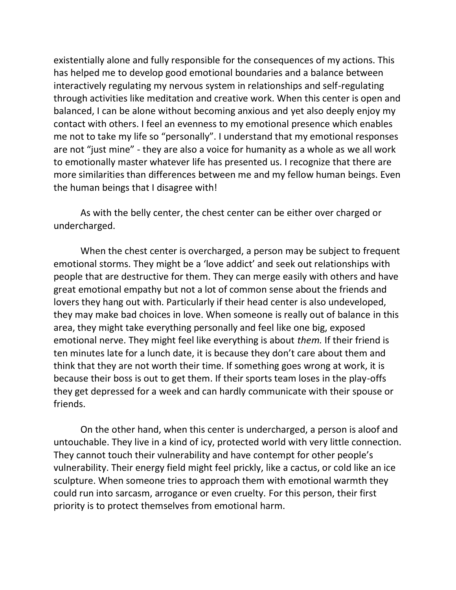existentially alone and fully responsible for the consequences of my actions. This has helped me to develop good emotional boundaries and a balance between interactively regulating my nervous system in relationships and self-regulating through activities like meditation and creative work. When this center is open and balanced, I can be alone without becoming anxious and yet also deeply enjoy my contact with others. I feel an evenness to my emotional presence which enables me not to take my life so "personally". I understand that my emotional responses are not "just mine" - they are also a voice for humanity as a whole as we all work to emotionally master whatever life has presented us. I recognize that there are more similarities than differences between me and my fellow human beings. Even the human beings that I disagree with!

As with the belly center, the chest center can be either over charged or undercharged.

When the chest center is overcharged, a person may be subject to frequent emotional storms. They might be a 'love addict' and seek out relationships with people that are destructive for them. They can merge easily with others and have great emotional empathy but not a lot of common sense about the friends and lovers they hang out with. Particularly if their head center is also undeveloped, they may make bad choices in love. When someone is really out of balance in this area, they might take everything personally and feel like one big, exposed emotional nerve. They might feel like everything is about *them.* If their friend is ten minutes late for a lunch date, it is because they don't care about them and think that they are not worth their time. If something goes wrong at work, it is because their boss is out to get them. If their sports team loses in the play-offs they get depressed for a week and can hardly communicate with their spouse or friends.

On the other hand, when this center is undercharged, a person is aloof and untouchable. They live in a kind of icy, protected world with very little connection. They cannot touch their vulnerability and have contempt for other people's vulnerability. Their energy field might feel prickly, like a cactus, or cold like an ice sculpture. When someone tries to approach them with emotional warmth they could run into sarcasm, arrogance or even cruelty. For this person, their first priority is to protect themselves from emotional harm.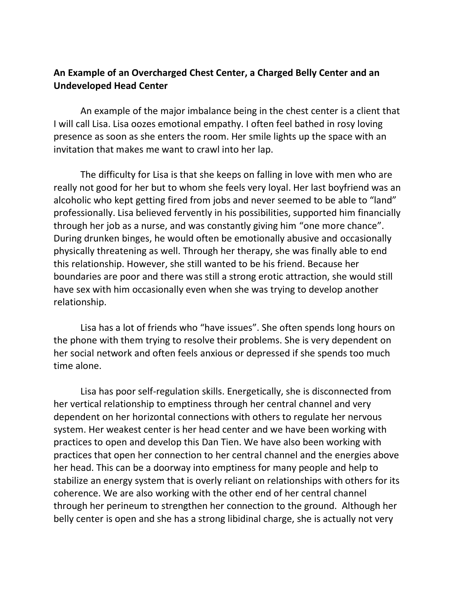# **An Example of an Overcharged Chest Center, a Charged Belly Center and an Undeveloped Head Center**

An example of the major imbalance being in the chest center is a client that I will call Lisa. Lisa oozes emotional empathy. I often feel bathed in rosy loving presence as soon as she enters the room. Her smile lights up the space with an invitation that makes me want to crawl into her lap.

The difficulty for Lisa is that she keeps on falling in love with men who are really not good for her but to whom she feels very loyal. Her last boyfriend was an alcoholic who kept getting fired from jobs and never seemed to be able to "land" professionally. Lisa believed fervently in his possibilities, supported him financially through her job as a nurse, and was constantly giving him "one more chance". During drunken binges, he would often be emotionally abusive and occasionally physically threatening as well. Through her therapy, she was finally able to end this relationship. However, she still wanted to be his friend. Because her boundaries are poor and there was still a strong erotic attraction, she would still have sex with him occasionally even when she was trying to develop another relationship.

Lisa has a lot of friends who "have issues". She often spends long hours on the phone with them trying to resolve their problems. She is very dependent on her social network and often feels anxious or depressed if she spends too much time alone.

Lisa has poor self-regulation skills. Energetically, she is disconnected from her vertical relationship to emptiness through her central channel and very dependent on her horizontal connections with others to regulate her nervous system. Her weakest center is her head center and we have been working with practices to open and develop this Dan Tien. We have also been working with practices that open her connection to her central channel and the energies above her head. This can be a doorway into emptiness for many people and help to stabilize an energy system that is overly reliant on relationships with others for its coherence. We are also working with the other end of her central channel through her perineum to strengthen her connection to the ground. Although her belly center is open and she has a strong libidinal charge, she is actually not very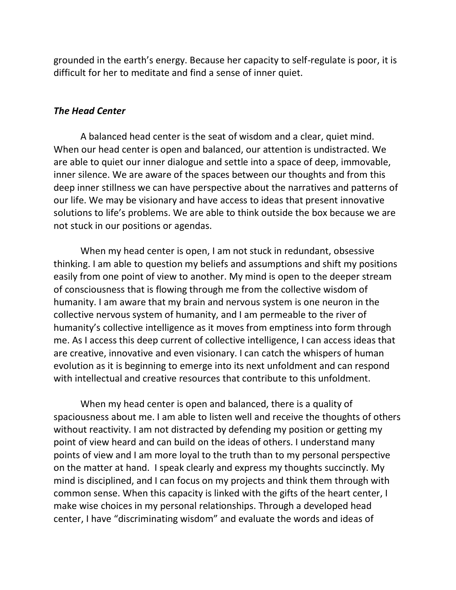grounded in the earth's energy. Because her capacity to self-regulate is poor, it is difficult for her to meditate and find a sense of inner quiet.

### *The Head Center*

A balanced head center is the seat of wisdom and a clear, quiet mind. When our head center is open and balanced, our attention is undistracted. We are able to quiet our inner dialogue and settle into a space of deep, immovable, inner silence. We are aware of the spaces between our thoughts and from this deep inner stillness we can have perspective about the narratives and patterns of our life. We may be visionary and have access to ideas that present innovative solutions to life's problems. We are able to think outside the box because we are not stuck in our positions or agendas.

When my head center is open, I am not stuck in redundant, obsessive thinking. I am able to question my beliefs and assumptions and shift my positions easily from one point of view to another. My mind is open to the deeper stream of consciousness that is flowing through me from the collective wisdom of humanity. I am aware that my brain and nervous system is one neuron in the collective nervous system of humanity, and I am permeable to the river of humanity's collective intelligence as it moves from emptiness into form through me. As I access this deep current of collective intelligence, I can access ideas that are creative, innovative and even visionary. I can catch the whispers of human evolution as it is beginning to emerge into its next unfoldment and can respond with intellectual and creative resources that contribute to this unfoldment.

When my head center is open and balanced, there is a quality of spaciousness about me. I am able to listen well and receive the thoughts of others without reactivity. I am not distracted by defending my position or getting my point of view heard and can build on the ideas of others. I understand many points of view and I am more loyal to the truth than to my personal perspective on the matter at hand. I speak clearly and express my thoughts succinctly. My mind is disciplined, and I can focus on my projects and think them through with common sense. When this capacity is linked with the gifts of the heart center, I make wise choices in my personal relationships. Through a developed head center, I have "discriminating wisdom" and evaluate the words and ideas of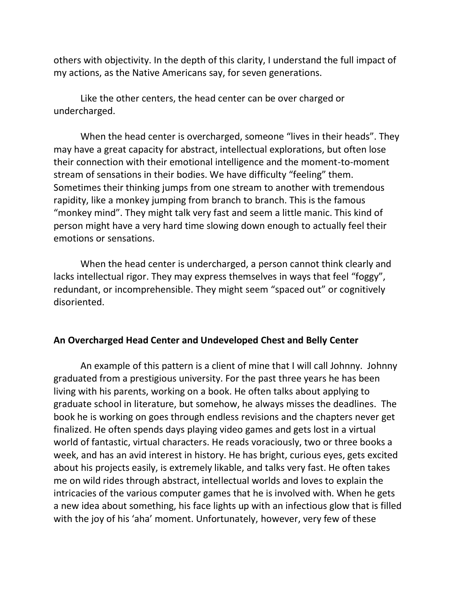others with objectivity. In the depth of this clarity, I understand the full impact of my actions, as the Native Americans say, for seven generations.

Like the other centers, the head center can be over charged or undercharged.

When the head center is overcharged, someone "lives in their heads". They may have a great capacity for abstract, intellectual explorations, but often lose their connection with their emotional intelligence and the moment-to-moment stream of sensations in their bodies. We have difficulty "feeling" them. Sometimes their thinking jumps from one stream to another with tremendous rapidity, like a monkey jumping from branch to branch. This is the famous "monkey mind". They might talk very fast and seem a little manic. This kind of person might have a very hard time slowing down enough to actually feel their emotions or sensations.

When the head center is undercharged, a person cannot think clearly and lacks intellectual rigor. They may express themselves in ways that feel "foggy", redundant, or incomprehensible. They might seem "spaced out" or cognitively disoriented.

### **An Overcharged Head Center and Undeveloped Chest and Belly Center**

An example of this pattern is a client of mine that I will call Johnny. Johnny graduated from a prestigious university. For the past three years he has been living with his parents, working on a book. He often talks about applying to graduate school in literature, but somehow, he always misses the deadlines. The book he is working on goes through endless revisions and the chapters never get finalized. He often spends days playing video games and gets lost in a virtual world of fantastic, virtual characters. He reads voraciously, two or three books a week, and has an avid interest in history. He has bright, curious eyes, gets excited about his projects easily, is extremely likable, and talks very fast. He often takes me on wild rides through abstract, intellectual worlds and loves to explain the intricacies of the various computer games that he is involved with. When he gets a new idea about something, his face lights up with an infectious glow that is filled with the joy of his 'aha' moment. Unfortunately, however, very few of these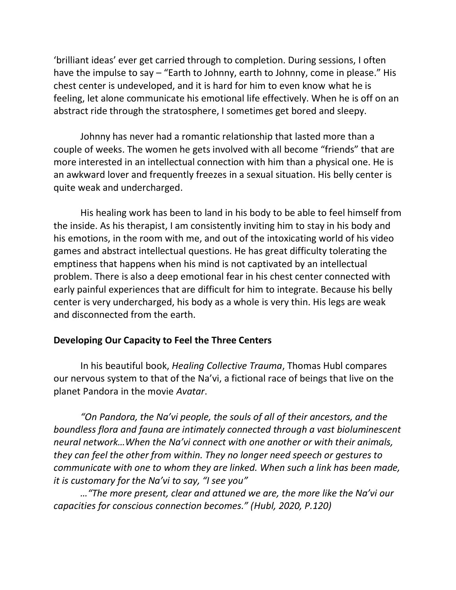'brilliant ideas' ever get carried through to completion. During sessions, I often have the impulse to say – "Earth to Johnny, earth to Johnny, come in please." His chest center is undeveloped, and it is hard for him to even know what he is feeling, let alone communicate his emotional life effectively. When he is off on an abstract ride through the stratosphere, I sometimes get bored and sleepy.

Johnny has never had a romantic relationship that lasted more than a couple of weeks. The women he gets involved with all become "friends" that are more interested in an intellectual connection with him than a physical one. He is an awkward lover and frequently freezes in a sexual situation. His belly center is quite weak and undercharged.

His healing work has been to land in his body to be able to feel himself from the inside. As his therapist, I am consistently inviting him to stay in his body and his emotions, in the room with me, and out of the intoxicating world of his video games and abstract intellectual questions. He has great difficulty tolerating the emptiness that happens when his mind is not captivated by an intellectual problem. There is also a deep emotional fear in his chest center connected with early painful experiences that are difficult for him to integrate. Because his belly center is very undercharged, his body as a whole is very thin. His legs are weak and disconnected from the earth.

## **Developing Our Capacity to Feel the Three Centers**

In his beautiful book, *Healing Collective Trauma*, Thomas Hubl compares our nervous system to that of the Na'vi, a fictional race of beings that live on the planet Pandora in the movie *Avatar*.

*"On Pandora, the Na'vi people, the souls of all of their ancestors, and the boundless flora and fauna are intimately connected through a vast bioluminescent neural network…When the Na'vi connect with one another or with their animals, they can feel the other from within. They no longer need speech or gestures to communicate with one to whom they are linked. When such a link has been made, it is customary for the Na'vi to say, "I see you"*

*…"The more present, clear and attuned we are, the more like the Na'vi our capacities for conscious connection becomes." (Hubl, 2020, P.120)*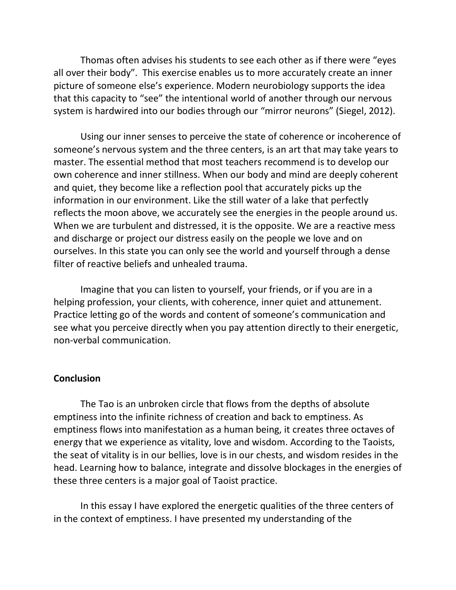Thomas often advises his students to see each other as if there were "eyes all over their body". This exercise enables us to more accurately create an inner picture of someone else's experience. Modern neurobiology supports the idea that this capacity to "see" the intentional world of another through our nervous system is hardwired into our bodies through our "mirror neurons" (Siegel, 2012).

Using our inner senses to perceive the state of coherence or incoherence of someone's nervous system and the three centers, is an art that may take years to master. The essential method that most teachers recommend is to develop our own coherence and inner stillness. When our body and mind are deeply coherent and quiet, they become like a reflection pool that accurately picks up the information in our environment. Like the still water of a lake that perfectly reflects the moon above, we accurately see the energies in the people around us. When we are turbulent and distressed, it is the opposite. We are a reactive mess and discharge or project our distress easily on the people we love and on ourselves. In this state you can only see the world and yourself through a dense filter of reactive beliefs and unhealed trauma.

Imagine that you can listen to yourself, your friends, or if you are in a helping profession, your clients, with coherence, inner quiet and attunement. Practice letting go of the words and content of someone's communication and see what you perceive directly when you pay attention directly to their energetic, non-verbal communication.

### **Conclusion**

The Tao is an unbroken circle that flows from the depths of absolute emptiness into the infinite richness of creation and back to emptiness. As emptiness flows into manifestation as a human being, it creates three octaves of energy that we experience as vitality, love and wisdom. According to the Taoists, the seat of vitality is in our bellies, love is in our chests, and wisdom resides in the head. Learning how to balance, integrate and dissolve blockages in the energies of these three centers is a major goal of Taoist practice.

In this essay I have explored the energetic qualities of the three centers of in the context of emptiness. I have presented my understanding of the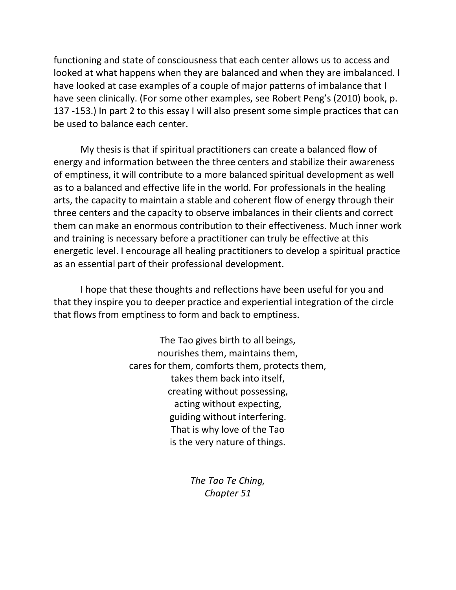functioning and state of consciousness that each center allows us to access and looked at what happens when they are balanced and when they are imbalanced. I have looked at case examples of a couple of major patterns of imbalance that I have seen clinically. (For some other examples, see Robert Peng's (2010) book, p. 137 -153.) In part 2 to this essay I will also present some simple practices that can be used to balance each center.

My thesis is that if spiritual practitioners can create a balanced flow of energy and information between the three centers and stabilize their awareness of emptiness, it will contribute to a more balanced spiritual development as well as to a balanced and effective life in the world. For professionals in the healing arts, the capacity to maintain a stable and coherent flow of energy through their three centers and the capacity to observe imbalances in their clients and correct them can make an enormous contribution to their effectiveness. Much inner work and training is necessary before a practitioner can truly be effective at this energetic level. I encourage all healing practitioners to develop a spiritual practice as an essential part of their professional development.

I hope that these thoughts and reflections have been useful for you and that they inspire you to deeper practice and experiential integration of the circle that flows from emptiness to form and back to emptiness.

> The Tao gives birth to all beings, nourishes them, maintains them, cares for them, comforts them, protects them, takes them back into itself, creating without possessing, acting without expecting, guiding without interfering. That is why love of the Tao is the very nature of things.

> > *The Tao Te Ching, Chapter 51*